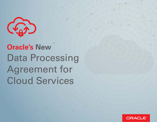

## **Oracle's New**  Data Processing Agreement for Cloud Services

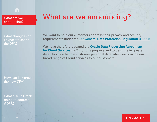Ħ

## <span id="page-1-0"></span>What are we What are we announcing?

[What changes can](#page-2-0)  I expect to see to the DPA?

[How can I leverage](#page-6-0)  the new DPA?

[What else is Oracle](#page-7-0)  doing to address GDPR?

 requirements under the **[EU General Data Protection Regulation \(GDPR\)](http://ec.europa.eu/justice/data-protection/)** We wan[t to help our customers address their priv](http://ec.europa.eu/justice/data-protection/)acy and security

[detail how](http://www.oracle.com/dataprocessingagreement) we handle customer personal data when we provide our broad range of Cloud services to our customers. We have therefore updated the **[Oracle Data Processing Agreement](http://www.oracle.com/dataprocessingagreement)  [for Cloud Services](http://www.oracle.com/dataprocessingagreement)** (DPA) for th[is purpose and to describe in greater](http://www.oracle.com/dataprocessingagreement) 

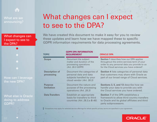



<span id="page-2-0"></span>[What are we](#page-1-0) **What changes can I expect** announcing? **to see to the DPA?** 

We have created this document to make it easy for you to review these updates and learn how we have mapped these to specific GDPR information requirements for data processing agreements.

|                                                  | <b>TOPIC</b>                        | <b>GDPR DPA INFORMATION</b><br><b>REQUIREMENT</b>                                                            | <b>ORACLE DPA</b>                                                                                                                                                                                       |
|--------------------------------------------------|-------------------------------------|--------------------------------------------------------------------------------------------------------------|---------------------------------------------------------------------------------------------------------------------------------------------------------------------------------------------------------|
|                                                  | <b>Scope</b>                        | Document the subject<br>matter and duration of the<br>processing operations<br>(Art. 28.3 GDPR)              | <b>Section 1</b> describes how our DPA applies<br>throughout the entire services term of your<br>order to any personal data you provide to us<br>for the Cloud services you have ordered <sup>1</sup> . |
| How can I leverage<br>the new DPA?               | <b>Description of</b><br>processing | Document the categories of<br>personal data and data<br>subjects handled by your<br>cloud vendor (Art. 28.3) | Section 4 lists categories of personal data<br>that customers may share with Oracle as<br>part of our broad range of Cloud services.                                                                    |
|                                                  | <b>Purpose</b><br><b>limitation</b> | Document the nature and<br>purpose of the processing<br>operations (Art. 28.3)                               | Sections 3, 5, and 13 describe how we<br>handle your data to provide you with<br>the Cloud services you have ordered.                                                                                   |
| What else is Oracle<br>doing to address<br>GDPR? | <b>Data Transfers</b>               | Establish an appropriate<br>basis for transfers to third<br>countries (Art. 28.3.a & 46).                    | <b>Section 7 of the DPA establishes a</b><br>framework to allow third country transfers<br>to Oracle and its global affiliates and third<br>party subprocessors.                                        |

**1** Exceptions may apply for selected service offerings for which specifc privacy terms are specifed in your agreement.

### ORACLE®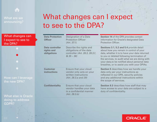

# [What are we](#page-1-0) **What changes can I expect** announcing?<br> **to see to the DPA?**

| What changes can<br>I expect to see to<br>the DPA?                                            | <b>Data Protection</b><br><b>Officer</b>            | Designation of a Data<br><b>Protection Officer</b><br>(Art. 37.1).                                   | Section 14 of the DPA provides contact<br>information for Oracle's designated Data<br><b>Protection Officer.</b>                                                                                                                                                                                                                     |
|-----------------------------------------------------------------------------------------------|-----------------------------------------------------|------------------------------------------------------------------------------------------------------|--------------------------------------------------------------------------------------------------------------------------------------------------------------------------------------------------------------------------------------------------------------------------------------------------------------------------------------|
|                                                                                               | <b>Data controller</b><br>rights and<br>obligations | Describe the rights and<br>obligations of the data<br>controller (Art. 28.3, 28.3.f,<br>$& 35 - 36)$ | Sections 3.1, 5.2 and 5.4 provide detail<br>about how you remain in control of your<br>data, whether it is to have your data returned<br>to you or deleted following termination of<br>the services, to audit what we are doing with<br>your data, to be notified about personal data<br>breaches, or to assist you with your DPIAs. |
| How can I leverage<br>the new DPA?<br><b>What else is Oracle</b><br>doing to address<br>GDPR? | <b>Customer</b><br><b>instructions</b>              | Ensure that your cloud<br>vendor only acts on your<br>written instructions<br>(Art. 28.3.a and 29)   | Section 5 describes how we handle your<br>data only per your instructions as<br>reflected in our DPA, security policies<br>and any additional instructions within<br>the scope of services.                                                                                                                                          |
|                                                                                               | <b>Confidentiality</b>                              | Ensure that your cloud<br>vendor handles your data<br>in a confidential manner<br>(Art. 28.3.b)      | Section 9.3 describes how staff that may<br>have access to your data are subject to a<br>duty of confidentiality.                                                                                                                                                                                                                    |

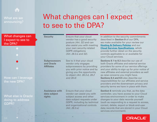

# [What are we](#page-1-0) **What changes can I expect** announcing?<br> **to see to the DPA?**

| What changes can<br>I expect to see to<br>the DPA?<br>How can I leverage<br>the new DPA? | <b>Security</b>                                         | Ensure that your cloud<br>vendor has a good security<br>posture (Art. 32) and can<br>also assist you with meeting<br>your own security-related<br><b>GDPR</b> obligations<br>(Art. 28.3.e and 32). | In addition to the security commitments<br>described in Section 9 of our DPA,<br>we make available for your review our<br><b>Hosting &amp; Delivery Policies and our</b><br><b>Cloud Services Specifications, which</b><br>provide further detail on the security<br>controls applicable to or available for<br>your Cloud services.                                                                                                                                  |
|------------------------------------------------------------------------------------------|---------------------------------------------------------|----------------------------------------------------------------------------------------------------------------------------------------------------------------------------------------------------|-----------------------------------------------------------------------------------------------------------------------------------------------------------------------------------------------------------------------------------------------------------------------------------------------------------------------------------------------------------------------------------------------------------------------------------------------------------------------|
|                                                                                          | <b>Subprocessors</b><br>and Oracle<br><b>Affiliates</b> | See to it that your cloud<br>vendor only engages<br>subprocessors by providing<br>you with prior notice and by<br>giving you the opportunity<br>to object (Art. 28.3.d, 28.2)<br>and 28.4)         | Sections 8.1 to 8.3 describe our use of<br>both Oracle affiliates and external service<br>providers for some of our service offerings<br>and your ability to sign up for prior notice of<br>new affiliates and external providers as well<br>as raise concerns you might have.<br>Sections 8.4 and 8.5 also describe our<br>responsibilities for our affiliates and service<br>providers and the downstream privacy and<br>security terms we have in place with them. |
|                                                                                          | <b>Assistance with</b><br>data subject                  | Ensure that your cloud<br>vendor can assist you with                                                                                                                                               | Section 6 reminds you that, as the data<br>controller, you have access to your Cloud                                                                                                                                                                                                                                                                                                                                                                                  |
| What else is Oracle                                                                      | rights                                                  | subject access and other                                                                                                                                                                           | services environment in order to make                                                                                                                                                                                                                                                                                                                                                                                                                                 |
| doing to address<br>GDPR?                                                                |                                                         | data subject requests under<br>GDPR, including by technical<br>and organizational controls<br>(Art. 28.3.e)                                                                                        | changes to your data records yourself<br>(such as responding to a request to access,<br>correct, delete, export or block end-user<br>data records that are stored in your Cloud<br>services environment).                                                                                                                                                                                                                                                             |

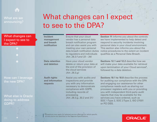

# [What are we](#page-1-0) **What changes can I expect** announcing?<br> **to see to the DPA?**

| What changes can<br>expect to see to<br>the DPA?        | <b>Incident</b><br>management<br>and breach<br>notification | Ensure that your cloud<br>vendor has a personal data<br>breach notification program<br>and can also assist you with<br>meeting your own personal<br>data breach notification duties<br>to regulators and individuals<br>(Art. 28.3.f and 33 – 34) | <b>Section 11 informs you about the controls</b><br>we have implemented to help detect and<br>respond to security incidents involving<br>personal data in your cloud environment.<br>This section also informs you about the<br>notice procedures to the extent an incident<br>qualifies as a Personal Data Breach. |
|---------------------------------------------------------|-------------------------------------------------------------|---------------------------------------------------------------------------------------------------------------------------------------------------------------------------------------------------------------------------------------------------|---------------------------------------------------------------------------------------------------------------------------------------------------------------------------------------------------------------------------------------------------------------------------------------------------------------------|
|                                                         | <b>Data retention</b><br>and deletion                       | Have your cloud vendor<br>delete or return your data at<br>the end of the provision of<br>the cloud services<br>(Art. 28.3.9)                                                                                                                     | Sections 12.1 and 12.2 describe how we<br>will make your data available for retrieval<br>upon termination of your Cloud services <sup>2</sup> ,<br>followed by a data deletion.                                                                                                                                     |
| How can I leverage<br>the new DPA?                      | <b>Audit rights</b><br>and information<br>requests          | Assist you with audits and<br>inspections and provide<br>you with any information<br>necessary to demonstrate<br>compliance with GDPR,<br>including records of                                                                                    | Sections 10.1 to 10.8 describe the process<br>for auditing our compliance with the DPA<br>and engaging our assistance for other<br>compliance needs such as sharing our<br>processor registers with you or providing<br>you with independent third-party audit                                                      |
| What else is Oracle<br>doing to address<br><b>GDPR?</b> |                                                             | processing<br>(Art. 28.3.g, 30.2 and 31)                                                                                                                                                                                                          | reports that may be available for the<br>services you have ordered, such as<br>SOC 1 Type 2, SOC 2 Type 2, ISO 27001<br>or PCI DSS.                                                                                                                                                                                 |

#### **ORACLE®**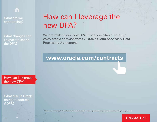<span id="page-6-0"></span>

What are we [announcing?](#page-1-0) 

[What changes can](#page-2-0)  I expect to see to the DPA?

How can I leverage the new DPA?

[What else is Oracle](#page-7-0)  doing to address GDPR?

## How can I leverage the new DPA?

We are making our new DPA broadly available $^3$  through www.oracle.com/contracts > Oracle Cloud Services > Data Processing Agreement.

### **[www.oracle.com/contracts](http://www.oracle.com/contracts)**

**3** Exceptions may apply for selected service offerings for which specifc privacy terms are specifed in your agreement.

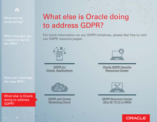<span id="page-7-0"></span>

What are we [announcing?](#page-1-0) 

[What changes can](#page-2-0)  I expect to see to the DPA?

[How can I leverage](#page-6-0) 

the new DPA?

## What else is Oracle doing to address GDPR?

For more information on our GDPR initiatives, please feel free to visit our GDPR resource pages:



**GDPR** for **[Oracle Applications](https://www.oracle.com/applications/gdpr/index.html) Resources Center** 



What else is Oracle doing to address GDPR?





**Oracle GDPR Security** 



**[GDPR and Oracle](https://www.oracle.com/marketingcloud/about/events/gdpr.html) [GDPR Resource Center](https://support.oracle.com/epmos/faces/DocumentDisplay?parent=DOCUMENT&sourceId=111.2&id=111.2 )  Marketing Cloud**  (Doc ID 111.2) in MOS

### ORACLE®